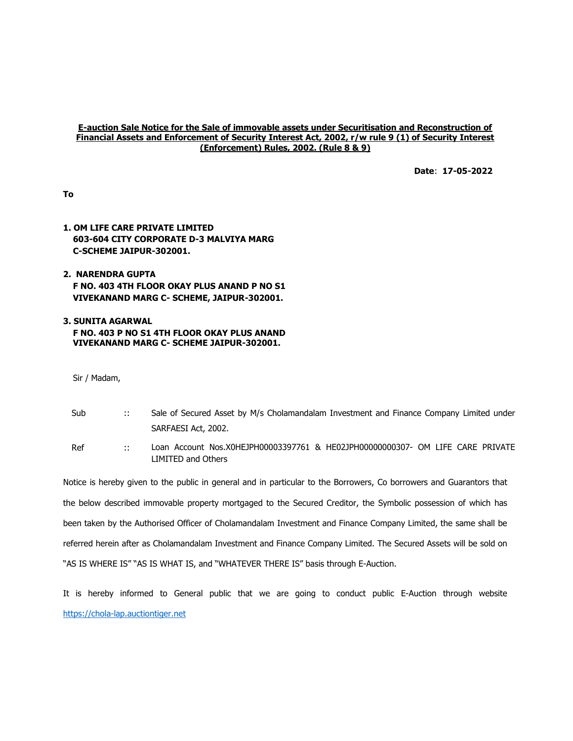#### E-auction Sale Notice for the Sale of immovable assets under Securitisation and Reconstruction of Financial Assets and Enforcement of Security Interest Act, 2002, r/w rule 9 (1) of Security Interest (Enforcement) Rules, 2002. (Rule 8 & 9)

Date: 17-05-2022

To

# 1. OM LIFE CARE PRIVATE LIMITED 603-604 CITY CORPORATE D-3 MALVIYA MARG C-SCHEME JAIPUR-302001.

# 2. NARENDRA GUPTA F NO. 403 4TH FLOOR OKAY PLUS ANAND P NO S1 VIVEKANAND MARG C- SCHEME, JAIPUR-302001.

### 3. SUNITA AGARWAL F NO. 403 P NO S1 4TH FLOOR OKAY PLUS ANAND VIVEKANAND MARG C- SCHEME JAIPUR-302001.

Sir / Madam,

- Sub :: Sale of Secured Asset by M/s Cholamandalam Investment and Finance Company Limited under SARFAESI Act, 2002.
- Ref :: Loan Account Nos.X0HEJPH00003397761 & HE02JPH00000000307- OM LIFE CARE PRIVATE LIMITED and Others

Notice is hereby given to the public in general and in particular to the Borrowers, Co borrowers and Guarantors that the below described immovable property mortgaged to the Secured Creditor, the Symbolic possession of which has been taken by the Authorised Officer of Cholamandalam Investment and Finance Company Limited, the same shall be referred herein after as Cholamandalam Investment and Finance Company Limited. The Secured Assets will be sold on "AS IS WHERE IS" "AS IS WHAT IS, and "WHATEVER THERE IS" basis through E-Auction.

It is hereby informed to General public that we are going to conduct public E-Auction through website https://chola-lap.auctiontiger.net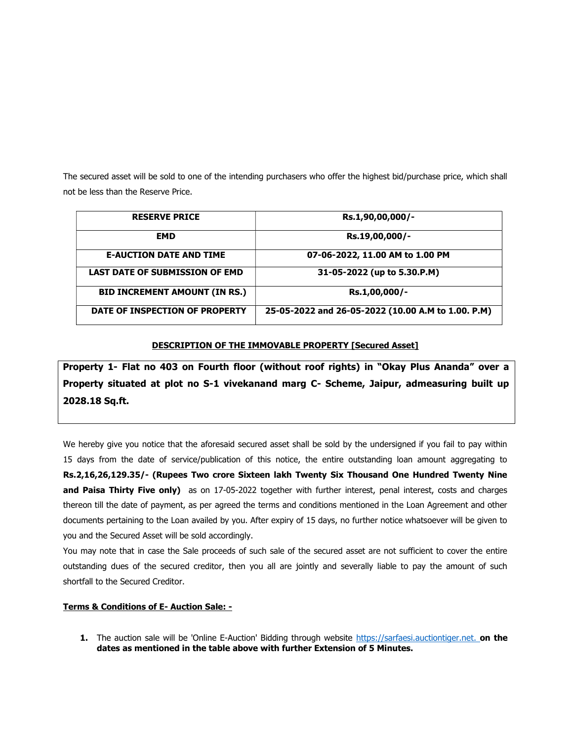The secured asset will be sold to one of the intending purchasers who offer the highest bid/purchase price, which shall not be less than the Reserve Price.

| <b>RESERVE PRICE</b>                  | Rs.1,90,00,000/-                                   |
|---------------------------------------|----------------------------------------------------|
| <b>EMD</b>                            | Rs.19,00,000/-                                     |
| <b>E-AUCTION DATE AND TIME</b>        | 07-06-2022, 11.00 AM to 1.00 PM                    |
| <b>LAST DATE OF SUBMISSION OF EMD</b> | 31-05-2022 (up to 5.30.P.M)                        |
| <b>BID INCREMENT AMOUNT (IN RS.)</b>  | Rs.1,00,000/-                                      |
| DATE OF INSPECTION OF PROPERTY        | 25-05-2022 and 26-05-2022 (10.00 A.M to 1.00. P.M) |

## DESCRIPTION OF THE IMMOVABLE PROPERTY [Secured Asset]

Property 1- Flat no 403 on Fourth floor (without roof rights) in "Okay Plus Ananda" over a Property situated at plot no S-1 vivekanand marg C- Scheme, Jaipur, admeasuring built up 2028.18 Sq.ft.

We hereby give you notice that the aforesaid secured asset shall be sold by the undersigned if you fail to pay within 15 days from the date of service/publication of this notice, the entire outstanding loan amount aggregating to Rs.2,16,26,129.35/- (Rupees Two crore Sixteen lakh Twenty Six Thousand One Hundred Twenty Nine and Paisa Thirty Five only) as on 17-05-2022 together with further interest, penal interest, costs and charges thereon till the date of payment, as per agreed the terms and conditions mentioned in the Loan Agreement and other documents pertaining to the Loan availed by you. After expiry of 15 days, no further notice whatsoever will be given to you and the Secured Asset will be sold accordingly.

You may note that in case the Sale proceeds of such sale of the secured asset are not sufficient to cover the entire outstanding dues of the secured creditor, then you all are jointly and severally liable to pay the amount of such shortfall to the Secured Creditor.

## Terms & Conditions of E- Auction Sale: -

1. The auction sale will be 'Online E-Auction' Bidding through website https://sarfaesi.auctiontiger.net. on the dates as mentioned in the table above with further Extension of 5 Minutes.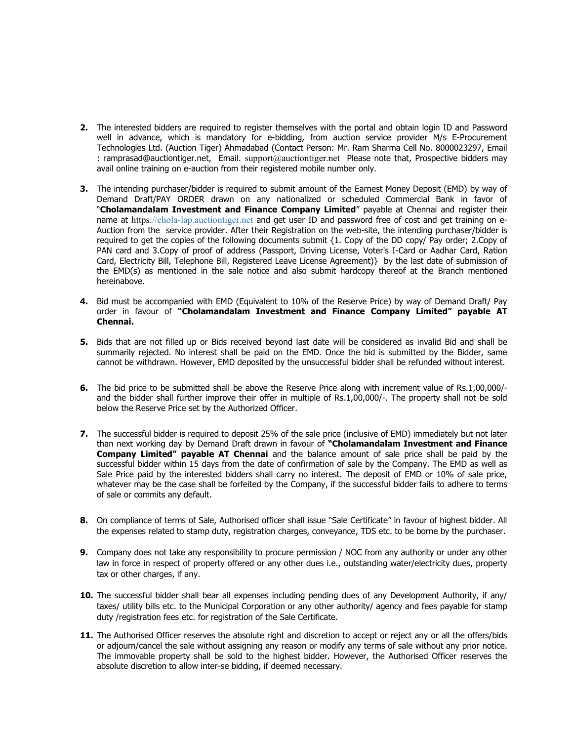- 2. The interested bidders are required to register themselves with the portal and obtain login ID and Password well in advance, which is mandatory for e-bidding, from auction service provider M/s E-Procurement Technologies Ltd. (Auction Tiger) Ahmadabad (Contact Person: Mr. Ram Sharma Cell No. 8000023297, Email : ramprasad@auctiontiger.net, Email. support@auctiontiger.net Please note that, Prospective bidders may avail online training on e-auction from their registered mobile number only.
- 3. The intending purchaser/bidder is required to submit amount of the Earnest Money Deposit (EMD) by way of Demand Draft/PAY ORDER drawn on any nationalized or scheduled Commercial Bank in favor of "Cholamandalam Investment and Finance Company Limited" payable at Chennai and register their name at https://chola-lap.auctiontiger.net and get user ID and password free of cost and get training on e-Auction from the service provider. After their Registration on the web-site, the intending purchaser/bidder is required to get the copies of the following documents submit {1. Copy of the DD copy/ Pay order; 2.Copy of PAN card and 3.Copy of proof of address (Passport, Driving License, Voter's I-Card or Aadhar Card, Ration Card, Electricity Bill, Telephone Bill, Registered Leave License Agreement)} by the last date of submission of the EMD(s) as mentioned in the sale notice and also submit hardcopy thereof at the Branch mentioned hereinabove.
- 4. Bid must be accompanied with EMD (Equivalent to 10% of the Reserve Price) by way of Demand Draft/ Pay order in favour of "Cholamandalam Investment and Finance Company Limited" payable AT Chennai.
- 5. Bids that are not filled up or Bids received beyond last date will be considered as invalid Bid and shall be summarily rejected. No interest shall be paid on the EMD. Once the bid is submitted by the Bidder, same cannot be withdrawn. However, EMD deposited by the unsuccessful bidder shall be refunded without interest.
- 6. The bid price to be submitted shall be above the Reserve Price along with increment value of Rs.1,00,000/ and the bidder shall further improve their offer in multiple of Rs.1,00,000/-. The property shall not be sold below the Reserve Price set by the Authorized Officer.
- 7. The successful bidder is required to deposit 25% of the sale price (inclusive of EMD) immediately but not later than next working day by Demand Draft drawn in favour of "Cholamandalam Investment and Finance Company Limited" payable AT Chennai and the balance amount of sale price shall be paid by the successful bidder within 15 days from the date of confirmation of sale by the Company. The EMD as well as Sale Price paid by the interested bidders shall carry no interest. The deposit of EMD or 10% of sale price, whatever may be the case shall be forfeited by the Company, if the successful bidder fails to adhere to terms of sale or commits any default.
- 8. On compliance of terms of Sale, Authorised officer shall issue "Sale Certificate" in favour of highest bidder. All the expenses related to stamp duty, registration charges, conveyance, TDS etc. to be borne by the purchaser.
- 9. Company does not take any responsibility to procure permission / NOC from any authority or under any other law in force in respect of property offered or any other dues i.e., outstanding water/electricity dues, property tax or other charges, if any.
- 10. The successful bidder shall bear all expenses including pending dues of any Development Authority, if any/ taxes/ utility bills etc. to the Municipal Corporation or any other authority/ agency and fees payable for stamp duty /registration fees etc. for registration of the Sale Certificate.
- 11. The Authorised Officer reserves the absolute right and discretion to accept or reject any or all the offers/bids or adjourn/cancel the sale without assigning any reason or modify any terms of sale without any prior notice. The immovable property shall be sold to the highest bidder. However, the Authorised Officer reserves the absolute discretion to allow inter-se bidding, if deemed necessary.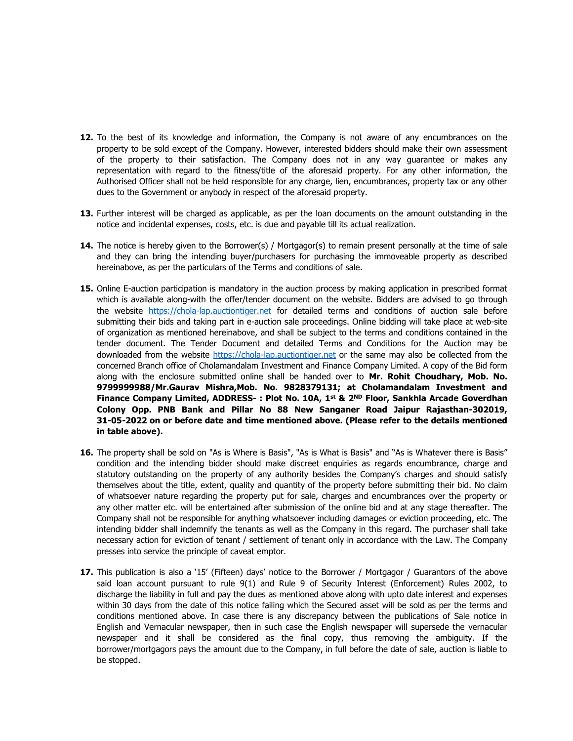- 12. To the best of its knowledge and information, the Company is not aware of any encumbrances on the property to be sold except of the Company. However, interested bidders should make their own assessment of the property to their satisfaction. The Company does not in any way guarantee or makes any representation with regard to the fitness/title of the aforesaid property. For any other information, the Authorised Officer shall not be held responsible for any charge, lien, encumbrances, property tax or any other dues to the Government or anybody in respect of the aforesaid property.
- 13. Further interest will be charged as applicable, as per the loan documents on the amount outstanding in the notice and incidental expenses, costs, etc. is due and payable till its actual realization.
- 14. The notice is hereby given to the Borrower(s) / Mortgagor(s) to remain present personally at the time of sale and they can bring the intending buyer/purchasers for purchasing the immoveable property as described hereinabove, as per the particulars of the Terms and conditions of sale.
- 15. Online E-auction participation is mandatory in the auction process by making application in prescribed format which is available along-with the offer/tender document on the website. Bidders are advised to go through the website https://chola-lap.auctiontiger.net for detailed terms and conditions of auction sale before submitting their bids and taking part in e-auction sale proceedings. Online bidding will take place at web-site of organization as mentioned hereinabove, and shall be subject to the terms and conditions contained in the tender document. The Tender Document and detailed Terms and Conditions for the Auction may be downloaded from the website https://chola-lap.auctiontiger.net or the same may also be collected from the concerned Branch office of Cholamandalam Investment and Finance Company Limited. A copy of the Bid form along with the enclosure submitted online shall be handed over to Mr. Rohit Choudhary, Mob. No. 9799999988/Mr.Gaurav Mishra,Mob. No. 9828379131; at Cholamandalam Investment and Finance Company Limited, ADDRESS- : Plot No. 10A, 1<sup>st</sup> & 2<sup>ND</sup> Floor, Sankhla Arcade Goverdhan Colony Opp. PNB Bank and Pillar No 88 New Sanganer Road Jaipur Rajasthan-302019, 31-05-2022 on or before date and time mentioned above. (Please refer to the details mentioned in table above).
- 16. The property shall be sold on "As is Where is Basis", "As is What is Basis" and "As is Whatever there is Basis" condition and the intending bidder should make discreet enquiries as regards encumbrance, charge and statutory outstanding on the property of any authority besides the Company's charges and should satisfy themselves about the title, extent, quality and quantity of the property before submitting their bid. No claim of whatsoever nature regarding the property put for sale, charges and encumbrances over the property or any other matter etc. will be entertained after submission of the online bid and at any stage thereafter. The Company shall not be responsible for anything whatsoever including damages or eviction proceeding, etc. The intending bidder shall indemnify the tenants as well as the Company in this regard. The purchaser shall take necessary action for eviction of tenant / settlement of tenant only in accordance with the Law. The Company presses into service the principle of caveat emptor.
- 17. This publication is also a '15' (Fifteen) days' notice to the Borrower / Mortgagor / Guarantors of the above said loan account pursuant to rule 9(1) and Rule 9 of Security Interest (Enforcement) Rules 2002, to discharge the liability in full and pay the dues as mentioned above along with upto date interest and expenses within 30 days from the date of this notice failing which the Secured asset will be sold as per the terms and conditions mentioned above. In case there is any discrepancy between the publications of Sale notice in English and Vernacular newspaper, then in such case the English newspaper will supersede the vernacular newspaper and it shall be considered as the final copy, thus removing the ambiguity. If the borrower/mortgagors pays the amount due to the Company, in full before the date of sale, auction is liable to be stopped.